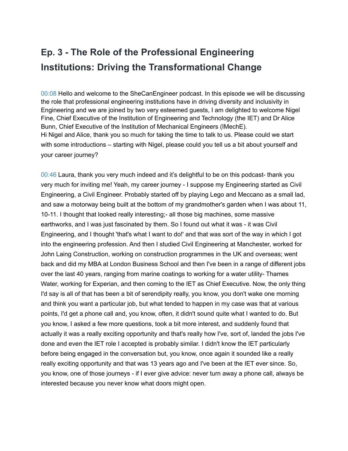## **Ep. 3 - The Role of the Professional Engineering Institutions: Driving the Transformational Change**

00:08 Hello and welcome to the SheCanEngineer podcast. In this episode we will be discussing the role that professional engineering institutions have in driving diversity and inclusivity in Engineering and we are joined by two very esteemed guests, I am delighted to welcome Nigel Fine, Chief Executive of the Institution of Engineering and Technology (the IET) and Dr Alice Bunn, Chief Executive of the Institution of Mechanical Engineers (IMechE). Hi Nigel and Alice, thank you so much for taking the time to talk to us. Please could we start with some introductions – starting with Nigel, please could you tell us a bit about yourself and your career journey?

00:46 Laura, thank you very much indeed and it's delightful to be on this podcast- thank you very much for inviting me! Yeah, my career journey - I suppose my Engineering started as Civil Engineering, a Civil Engineer. Probably started off by playing Lego and Meccano as a small lad, and saw a motorway being built at the bottom of my grandmother's garden when I was about 11, 10-11. I thought that looked really interesting;- all those big machines, some massive earthworks, and I was just fascinated by them. So I found out what it was - it was Civil Engineering, and I thought 'that's what I want to do!' and that was sort of the way in which I got into the engineering profession. And then I studied Civil Engineering at Manchester, worked for John Laing Construction, working on construction programmes in the UK and overseas; went back and did my MBA at London Business School and then I've been in a range of different jobs over the last 40 years, ranging from marine coatings to working for a water utility- Thames Water, working for Experian, and then coming to the IET as Chief Executive. Now, the only thing I'd say is all of that has been a bit of serendipity really, you know, you don't wake one morning and think you want a particular job, but what tended to happen in my case was that at various points, I'd get a phone call and, you know, often, it didn't sound quite what I wanted to do. But you know, I asked a few more questions, took a bit more interest, and suddenly found that actually it was a really exciting opportunity and that's really how I've, sort of, landed the jobs I've done and even the IET role I accepted is probably similar. I didn't know the IET particularly before being engaged in the conversation but, you know, once again it sounded like a really really exciting opportunity and that was 13 years ago and I've been at the IET ever since. So, you know, one of those journeys - if I ever give advice: never turn away a phone call, always be interested because you never know what doors might open.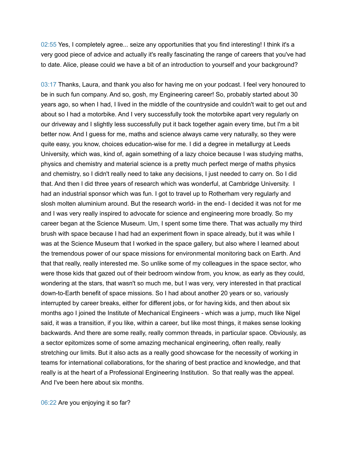02:55 Yes, I completely agree... seize any opportunities that you find interesting! I think it's a very good piece of advice and actually it's really fascinating the range of careers that you've had to date. Alice, please could we have a bit of an introduction to yourself and your background?

03:17 Thanks, Laura, and thank you also for having me on your podcast. I feel very honoured to be in such fun company. And so, gosh, my Engineering career! So, probably started about 30 years ago, so when I had, I lived in the middle of the countryside and couldn't wait to get out and about so I had a motorbike. And I very successfully took the motorbike apart very regularly on our driveway and I slightly less successfully put it back together again every time, but I'm a bit better now. And I guess for me, maths and science always came very naturally, so they were quite easy, you know, choices education-wise for me. I did a degree in metallurgy at Leeds University, which was, kind of, again something of a lazy choice because I was studying maths, physics and chemistry and material science is a pretty much perfect merge of maths physics and chemistry, so I didn't really need to take any decisions, I just needed to carry on. So I did that. And then I did three years of research which was wonderful, at Cambridge University. I had an industrial sponsor which was fun. I got to travel up to Rotherham very regularly and slosh molten aluminium around. But the research world- in the end- I decided it was not for me and I was very really inspired to advocate for science and engineering more broadly. So my career began at the Science Museum. Um, I spent some time there. That was actually my third brush with space because I had had an experiment flown in space already, but it was while I was at the Science Museum that I worked in the space gallery, but also where I learned about the tremendous power of our space missions for environmental monitoring back on Earth. And that that really, really interested me. So unlike some of my colleagues in the space sector, who were those kids that gazed out of their bedroom window from, you know, as early as they could, wondering at the stars, that wasn't so much me, but I was very, very interested in that practical down-to-Earth benefit of space missions. So I had about another 20 years or so, variously interrupted by career breaks, either for different jobs, or for having kids, and then about six months ago I joined the Institute of Mechanical Engineers - which was a jump, much like Nigel said, it was a transition, if you like, within a career, but like most things, it makes sense looking backwards. And there are some really, really common threads, in particular space. Obviously, as a sector epitomizes some of some amazing mechanical engineering, often really, really stretching our limits. But it also acts as a really good showcase for the necessity of working in teams for international collaborations, for the sharing of best practice and knowledge, and that really is at the heart of a Professional Engineering Institution. So that really was the appeal. And I've been here about six months.

06:22 Are you enjoying it so far?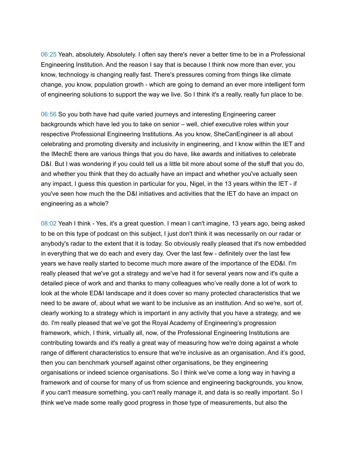06:25 Yeah, absolutely. Absolutely. I often say there's never a better time to be in a Professional Engineering Institution. And the reason I say that is because I think now more than ever, you know, technology is changing really fast. There's pressures coming from things like climate change, you know, population growth - which are going to demand an ever more intelligent form of engineering solutions to support the way we live. So I think it's a really, really fun place to be.

06:56 So you both have had quite varied journeys and interesting Engineering career backgrounds which have led you to take on senior – well, chief executive roles within your respective Professional Engineering Institutions. As you know, SheCanEngineer is all about celebrating and promoting diversity and inclusivity in engineering, and I know within the IET and the IMechE there are various things that you do have, like awards and initiatives to celebrate D&I. But I was wondering if you could tell us a little bit more about some of the stuff that you do, and whether you think that they do actually have an impact and whether you've actually seen any impact, I guess this question in particular for you, Nigel, in the 13 years within the IET - if you've seen how much the the D&I initiatives and activities that the IET do have an impact on engineering as a whole?

08:02 Yeah I think - Yes, it's a great question. I mean I can't imagine, 13 years ago, being asked to be on this type of podcast on this subject, I just don't think it was necessarily on our radar or anybody's radar to the extent that it is today. So obviously really pleased that it's now embedded in everything that we do each and every day. Over the last few - definitely over the last few years we have really started to become much more aware of the importance of the ED&I. I'm really pleased that we've got a strategy and we've had it for several years now and it's quite a detailed piece of work and and thanks to many colleagues who've really done a lot of work to look at the whole ED&I landscape and it does cover so many protected characteristics that we need to be aware of, about what we want to be inclusive as an institution. And so we're, sort of, clearly working to a strategy which is important in any activity that you have a strategy, and we do. I'm really pleased that we've got the Royal Academy of Engineering's progression framework, which, I think, virtually all, now, of the Professional Engineering Institutions are contributing towards and it's really a great way of measuring how we're doing against a whole range of different characteristics to ensure that we're inclusive as an organisation. And it's good, then you can benchmark yourself against other organisations, be they engineering organisations or indeed science organisations. So I think we've come a long way in having a framework and of course for many of us from science and engineering backgrounds, you know, if you can't measure something, you can't really manage it, and data is so really important. So I think we've made some really good progress in those type of measurements, but also the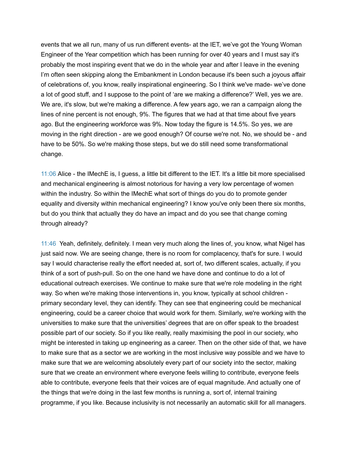events that we all run, many of us run different events- at the IET, we've got the Young Woman Engineer of the Year competition which has been running for over 40 years and I must say it's probably the most inspiring event that we do in the whole year and after I leave in the evening I'm often seen skipping along the Embankment in London because it's been such a joyous affair of celebrations of, you know, really inspirational engineering. So I think we've made- we've done a lot of good stuff, and I suppose to the point of 'are we making a difference?' Well, yes we are. We are, it's slow, but we're making a difference. A few years ago, we ran a campaign along the lines of nine percent is not enough, 9%. The figures that we had at that time about five years ago. But the engineering workforce was 9%. Now today the figure is 14.5%. So yes, we are moving in the right direction - are we good enough? Of course we're not. No, we should be - and have to be 50%. So we're making those steps, but we do still need some transformational change.

11:06 Alice - the IMechE is, I guess, a little bit different to the IET. It's a little bit more specialised and mechanical engineering is almost notorious for having a very low percentage of women within the industry. So within the IMechE what sort of things do you do to promote gender equality and diversity within mechanical engineering? I know you've only been there six months, but do you think that actually they do have an impact and do you see that change coming through already?

11:46 Yeah, definitely, definitely. I mean very much along the lines of, you know, what Nigel has just said now. We are seeing change, there is no room for complacency, that's for sure. I would say I would characterise really the effort needed at, sort of, two different scales, actually, if you think of a sort of push-pull. So on the one hand we have done and continue to do a lot of educational outreach exercises. We continue to make sure that we're role modeling in the right way. So when we're making those interventions in, you know, typically at school children primary secondary level, they can identify. They can see that engineering could be mechanical engineering, could be a career choice that would work for them. Similarly, we're working with the universities to make sure that the universities' degrees that are on offer speak to the broadest possible part of our society. So if you like really, really maximising the pool in our society, who might be interested in taking up engineering as a career. Then on the other side of that, we have to make sure that as a sector we are working in the most inclusive way possible and we have to make sure that we are welcoming absolutely every part of our society into the sector, making sure that we create an environment where everyone feels willing to contribute, everyone feels able to contribute, everyone feels that their voices are of equal magnitude. And actually one of the things that we're doing in the last few months is running a, sort of, internal training programme, if you like. Because inclusivity is not necessarily an automatic skill for all managers.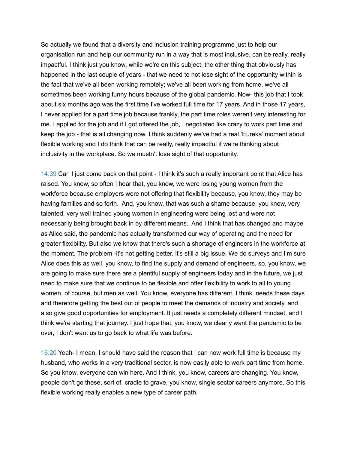So actually we found that a diversity and inclusion training programme just to help our organisation run and help our community run in a way that is most inclusive, can be really, really impactful. I think just you know, while we're on this subject, the other thing that obviously has happened in the last couple of years - that we need to not lose sight of the opportunity within is the fact that we've all been working remotely; we've all been working from home, we've all sometimes been working funny hours because of the global pandemic. Now- this job that I took about six months ago was the first time I've worked full time for 17 years. And in those 17 years, I never applied for a part time job because frankly, the part time roles weren't very interesting for me. I applied for the job and if I got offered the job, I negotiated like crazy to work part time and keep the job - that is all changing now. I think suddenly we've had a real 'Eureka' moment about flexible working and I do think that can be really, really impactful if we're thinking about inclusivity in the workplace. So we mustn't lose sight of that opportunity.

14:39 Can I just come back on that point - I think it's such a really important point that Alice has raised. You know, so often I hear that, you know, we were losing young women from the workforce because employers were not offering that flexibility because, you know, they may be having families and so forth. And, you know, that was such a shame because, you know, very talented, very well trained young women in engineering were being lost and were not necessarily being brought back in by different means. And I think that has changed and maybe as Alice said, the pandemic has actually transformed our way of operating and the need for greater flexibility. But also we know that there's such a shortage of engineers in the workforce at the moment. The problem -it's not getting better. it's still a big issue. We do surveys and I'm sure Alice does this as well, you know, to find the supply and demand of engineers, so, you know, we are going to make sure there are a plentiful supply of engineers today and in the future, we just need to make sure that we continue to be flexible and offer flexibility to work to all to young women, of course, but men as well. You know, everyone has different, I think, needs these days and therefore getting the best out of people to meet the demands of industry and society, and also give good opportunities for employment. It just needs a completely different mindset, and I think we're starting that journey. I just hope that, you know, we clearly want the pandemic to be over, I don't want us to go back to what life was before.

16:20 Yeah- I mean, I should have said the reason that I can now work full time is because my husband, who works in a very traditional sector, is now easily able to work part time from home. So you know, everyone can win here. And I think, you know, careers are changing. You know, people don't go these, sort of, cradle to grave, you know, single sector careers anymore. So this flexible working really enables a new type of career path.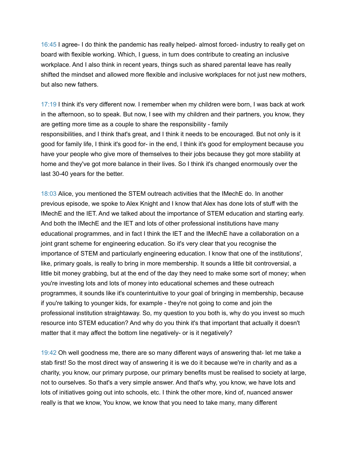16:45 I agree- I do think the pandemic has really helped- almost forced- industry to really get on board with flexible working. Which, I guess, in turn does contribute to creating an inclusive workplace. And I also think in recent years, things such as shared parental leave has really shifted the mindset and allowed more flexible and inclusive workplaces for not just new mothers, but also new fathers.

17:19 I think it's very different now. I remember when my children were born, I was back at work in the afternoon, so to speak. But now, I see with my children and their partners, you know, they are getting more time as a couple to share the responsibility - family responsibilities, and I think that's great, and I think it needs to be encouraged. But not only is it good for family life, I think it's good for- in the end, I think it's good for employment because you have your people who give more of themselves to their jobs because they got more stability at home and they've got more balance in their lives. So I think it's changed enormously over the last 30-40 years for the better.

18:03 Alice, you mentioned the STEM outreach activities that the IMechE do. In another previous episode, we spoke to Alex Knight and I know that Alex has done lots of stuff with the IMechE and the IET. And we talked about the importance of STEM education and starting early. And both the IMechE and the IET and lots of other professional institutions have many educational programmes, and in fact I think the IET and the IMechE have a collaboration on a joint grant scheme for engineering education. So it's very clear that you recognise the importance of STEM and particularly engineering education. I know that one of the institutions', like, primary goals, is really to bring in more membership. It sounds a little bit controversial, a little bit money grabbing, but at the end of the day they need to make some sort of money; when you're investing lots and lots of money into educational schemes and these outreach programmes, it sounds like it's counterintuitive to your goal of bringing in membership, because if you're talking to younger kids, for example - they're not going to come and join the professional institution straightaway. So, my question to you both is, why do you invest so much resource into STEM education? And why do you think it's that important that actually it doesn't matter that it may affect the bottom line negatively- or is it negatively?

19:42 Oh well goodness me, there are so many different ways of answering that- let me take a stab first! So the most direct way of answering it is we do it because we're in charity and as a charity, you know, our primary purpose, our primary benefits must be realised to society at large, not to ourselves. So that's a very simple answer. And that's why, you know, we have lots and lots of initiatives going out into schools, etc. I think the other more, kind of, nuanced answer really is that we know, You know, we know that you need to take many, many different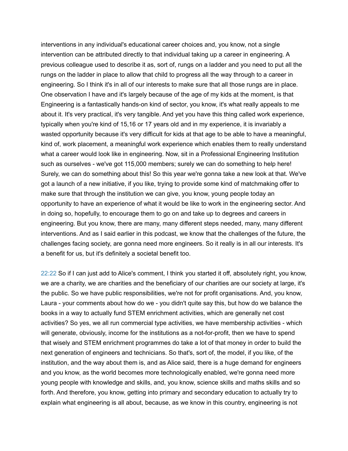interventions in any individual's educational career choices and, you know, not a single intervention can be attributed directly to that individual taking up a career in engineering. A previous colleague used to describe it as, sort of, rungs on a ladder and you need to put all the rungs on the ladder in place to allow that child to progress all the way through to a career in engineering. So I think it's in all of our interests to make sure that all those rungs are in place. One observation I have and it's largely because of the age of my kids at the moment, is that Engineering is a fantastically hands-on kind of sector, you know, it's what really appeals to me about it. It's very practical, it's very tangible. And yet you have this thing called work experience, typically when you're kind of 15,16 or 17 years old and in my experience, it is invariably a wasted opportunity because it's very difficult for kids at that age to be able to have a meaningful, kind of, work placement, a meaningful work experience which enables them to really understand what a career would look like in engineering. Now, sit in a Professional Engineering Institution such as ourselves - we've got 115,000 members; surely we can do something to help here! Surely, we can do something about this! So this year we're gonna take a new look at that. We've got a launch of a new initiative, if you like, trying to provide some kind of matchmaking offer to make sure that through the institution we can give, you know, young people today an opportunity to have an experience of what it would be like to work in the engineering sector. And in doing so, hopefully, to encourage them to go on and take up to degrees and careers in engineering. But you know, there are many, many different steps needed, many, many different interventions. And as I said earlier in this podcast, we know that the challenges of the future, the challenges facing society, are gonna need more engineers. So it really is in all our interests. It's a benefit for us, but it's definitely a societal benefit too.

22:22 So if I can just add to Alice's comment, I think you started it off, absolutely right, you know, we are a charity, we are charities and the beneficiary of our charities are our society at large, it's the public. So we have public responsibilities, we're not for profit organisations. And, you know, Laura - your comments about how do we - you didn't quite say this, but how do we balance the books in a way to actually fund STEM enrichment activities, which are generally net cost activities? So yes, we all run commercial type activities, we have membership activities - which will generate, obviously, income for the institutions as a not-for-profit, then we have to spend that wisely and STEM enrichment programmes do take a lot of that money in order to build the next generation of engineers and technicians. So that's, sort of, the model, if you like, of the institution, and the way about them is, and as Alice said, there is a huge demand for engineers and you know, as the world becomes more technologically enabled, we're gonna need more young people with knowledge and skills, and, you know, science skills and maths skills and so forth. And therefore, you know, getting into primary and secondary education to actually try to explain what engineering is all about, because, as we know in this country, engineering is not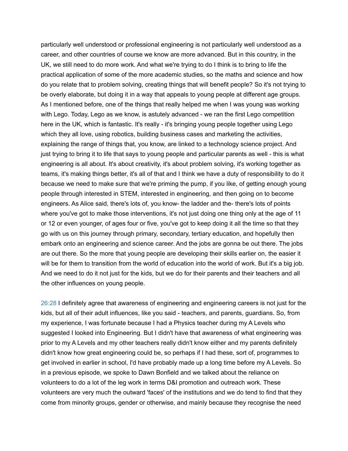particularly well understood or professional engineering is not particularly well understood as a career, and other countries of course we know are more advanced. But in this country, in the UK, we still need to do more work. And what we're trying to do I think is to bring to life the practical application of some of the more academic studies, so the maths and science and how do you relate that to problem solving, creating things that will benefit people? So it's not trying to be overly elaborate, but doing it in a way that appeals to young people at different age groups. As I mentioned before, one of the things that really helped me when I was young was working with Lego. Today, Lego as we know, is astutely advanced - we ran the first Lego competition here in the UK, which is fantastic. It's really - it's bringing young people together using Lego which they all love, using robotics, building business cases and marketing the activities, explaining the range of things that, you know, are linked to a technology science project. And just trying to bring it to life that says to young people and particular parents as well - this is what engineering is all about. It's about creativity, it's about problem solving, it's working together as teams, it's making things better, it's all of that and I think we have a duty of responsibility to do it because we need to make sure that we're priming the pump, if you like, of getting enough young people through interested in STEM, interested in engineering, and then going on to become engineers. As Alice said, there's lots of, you know- the ladder and the- there's lots of points where you've got to make those interventions, it's not just doing one thing only at the age of 11 or 12 or even younger, of ages four or five, you've got to keep doing it all the time so that they go with us on this journey through primary, secondary, tertiary education, and hopefully then embark onto an engineering and science career. And the jobs are gonna be out there. The jobs are out there. So the more that young people are developing their skills earlier on, the easier it will be for them to transition from the world of education into the world of work. But it's a big job. And we need to do it not just for the kids, but we do for their parents and their teachers and all the other influences on young people.

26:28 I definitely agree that awareness of engineering and engineering careers is not just for the kids, but all of their adult influences, like you said - teachers, and parents, guardians. So, from my experience, I was fortunate because I had a Physics teacher during my A Levels who suggested I looked into Engineering. But I didn't have that awareness of what engineering was prior to my A Levels and my other teachers really didn't know either and my parents definitely didn't know how great engineering could be, so perhaps if I had these, sort of, programmes to get involved in earlier in school, I'd have probably made up a long time before my A Levels. So in a previous episode, we spoke to Dawn Bonfield and we talked about the reliance on volunteers to do a lot of the leg work in terms D&I promotion and outreach work. These volunteers are very much the outward 'faces' of the institutions and we do tend to find that they come from minority groups, gender or otherwise, and mainly because they recognise the need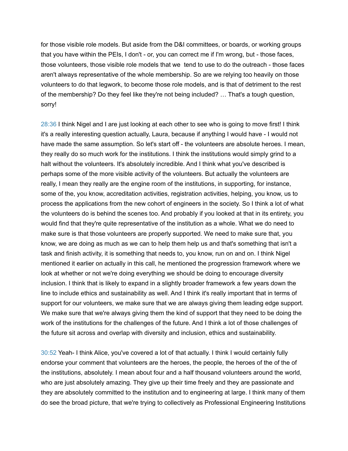for those visible role models. But aside from the D&I committees, or boards, or working groups that you have within the PEIs, I don't - or, you can correct me if I'm wrong, but - those faces, those volunteers, those visible role models that we tend to use to do the outreach - those faces aren't always representative of the whole membership. So are we relying too heavily on those volunteers to do that legwork, to become those role models, and is that of detriment to the rest of the membership? Do they feel like they're not being included? … That's a tough question, sorry!

28:36 I think Nigel and I are just looking at each other to see who is going to move first! I think it's a really interesting question actually, Laura, because if anything I would have - I would not have made the same assumption. So let's start off - the volunteers are absolute heroes. I mean, they really do so much work for the institutions. I think the institutions would simply grind to a halt without the volunteers. It's absolutely incredible. And I think what you've described is perhaps some of the more visible activity of the volunteers. But actually the volunteers are really, I mean they really are the engine room of the institutions, in supporting, for instance, some of the, you know, accreditation activities, registration activities, helping, you know, us to process the applications from the new cohort of engineers in the society. So I think a lot of what the volunteers do is behind the scenes too. And probably if you looked at that in its entirety, you would find that they're quite representative of the institution as a whole. What we do need to make sure is that those volunteers are properly supported. We need to make sure that, you know, we are doing as much as we can to help them help us and that's something that isn't a task and finish activity, it is something that needs to, you know, run on and on. I think Nigel mentioned it earlier on actually in this call, he mentioned the progression framework where we look at whether or not we're doing everything we should be doing to encourage diversity inclusion. I think that is likely to expand in a slightly broader framework a few years down the line to include ethics and sustainability as well. And I think it's really important that in terms of support for our volunteers, we make sure that we are always giving them leading edge support. We make sure that we're always giving them the kind of support that they need to be doing the work of the institutions for the challenges of the future. And I think a lot of those challenges of the future sit across and overlap with diversity and inclusion, ethics and sustainability.

30:52 Yeah- I think Alice, you've covered a lot of that actually. I think I would certainly fully endorse your comment that volunteers are the heroes, the people, the heroes of the of the of the institutions, absolutely. I mean about four and a half thousand volunteers around the world, who are just absolutely amazing. They give up their time freely and they are passionate and they are absolutely committed to the institution and to engineering at large. I think many of them do see the broad picture, that we're trying to collectively as Professional Engineering Institutions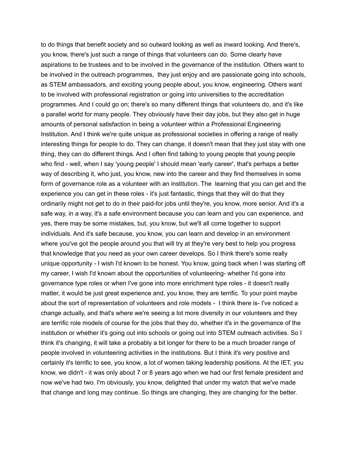to do things that benefit society and so outward looking as well as inward looking. And there's, you know, there's just such a range of things that volunteers can do. Some clearly have aspirations to be trustees and to be involved in the governance of the institution. Others want to be involved in the outreach programmes, they just enjoy and are passionate going into schools, as STEM ambassadors, and exciting young people about, you know, engineering. Others want to be involved with professional registration or going into universities to the accreditation programmes. And I could go on; there's so many different things that volunteers do, and it's like a parallel world for many people. They obviously have their day jobs, but they also get in huge amounts of personal satisfaction in being a volunteer within a Professional Engineering Institution. And I think we're quite unique as professional societies in offering a range of really interesting things for people to do. They can change, it doesn't mean that they just stay with one thing, they can do different things. And I often find talking to young people that young people who find - well, when I say 'young people' I should mean 'early career', that's perhaps a better way of describing it, who just, you know, new into the career and they find themselves in some form of governance role as a volunteer with an institution. The learning that you can get and the experience you can get in these roles - it's just fantastic, things that they will do that they ordinarily might not get to do in their paid-for jobs until they're, you know, more senior. And it's a safe way, in a way, it's a safe environment because you can learn and you can experience, and yes, there may be some mistakes, but, you know, but we'll all come together to support individuals. And it's safe because, you know, you can learn and develop in an environment where you've got the people around you that will try at they're very best to help you progress that knowledge that you need as your own career develops. So I think there's some really unique opportunity - I wish I'd known to be honest. You know, going back when I was starting off my career, I wish I'd known about the opportunities of volunteering- whether I'd gone into governance type roles or when I've gone into more enrichment type roles - it doesn't really matter, it would be just great experience and, you know, they are terrific. To your point maybe about the sort of representation of volunteers and role models - I think there is- I've noticed a change actually, and that's where we're seeing a lot more diversity in our volunteers and they are terrific role models of course for the jobs that they do, whether it's in the governance of the institution or whether it's going out into schools or going out into STEM outreach activities. So I think it's changing, it will take a probably a bit longer for there to be a much broader range of people involved in volunteering activities in the institutions. But I think it's very positive and certainly it's terrific to see, you know, a lot of women taking leadership positions. At the IET, you know, we didn't - it was only about 7 or 8 years ago when we had our first female president and now we've had two. I'm obviously, you know, delighted that under my watch that we've made that change and long may continue. So things are changing, they are changing for the better.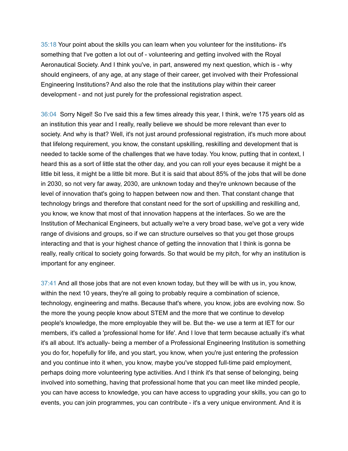35:18 Your point about the skills you can learn when you volunteer for the institutions- it's something that I've gotten a lot out of - volunteering and getting involved with the Royal Aeronautical Society. And I think you've, in part, answered my next question, which is - why should engineers, of any age, at any stage of their career, get involved with their Professional Engineering Institutions? And also the role that the institutions play within their career development - and not just purely for the professional registration aspect.

36:04 Sorry Nigel! So I've said this a few times already this year, I think, we're 175 years old as an institution this year and I really, really believe we should be more relevant than ever to society. And why is that? Well, it's not just around professional registration, it's much more about that lifelong requirement, you know, the constant upskilling, reskilling and development that is needed to tackle some of the challenges that we have today. You know, putting that in context, I heard this as a sort of little stat the other day, and you can roll your eyes because it might be a little bit less, it might be a little bit more. But it is said that about 85% of the jobs that will be done in 2030, so not very far away, 2030, are unknown today and they're unknown because of the level of innovation that's going to happen between now and then. That constant change that technology brings and therefore that constant need for the sort of upskilling and reskilling and, you know, we know that most of that innovation happens at the interfaces. So we are the Institution of Mechanical Engineers, but actually we're a very broad base, we've got a very wide range of divisions and groups, so if we can structure ourselves so that you get those groups interacting and that is your highest chance of getting the innovation that I think is gonna be really, really critical to society going forwards. So that would be my pitch, for why an institution is important for any engineer.

37:41 And all those jobs that are not even known today, but they will be with us in, you know, within the next 10 years, they're all going to probably require a combination of science, technology, engineering and maths. Because that's where, you know, jobs are evolving now. So the more the young people know about STEM and the more that we continue to develop people's knowledge, the more employable they will be. But the- we use a term at IET for our members, it's called a 'professional home for life'. And I love that term because actually it's what it's all about. It's actually- being a member of a Professional Engineering Institution is something you do for, hopefully for life, and you start, you know, when you're just entering the profession and you continue into it when, you know, maybe you've stopped full-time paid employment, perhaps doing more volunteering type activities. And I think it's that sense of belonging, being involved into something, having that professional home that you can meet like minded people, you can have access to knowledge, you can have access to upgrading your skills, you can go to events, you can join programmes, you can contribute - it's a very unique environment. And it is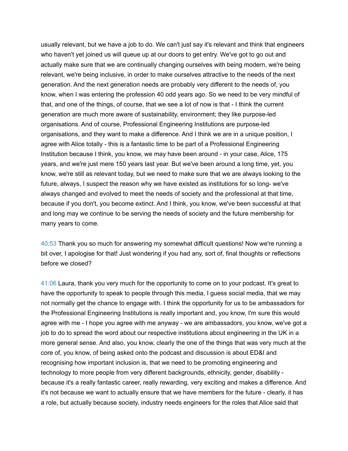usually relevant, but we have a job to do. We can't just say it's relevant and think that engineers who haven't yet joined us will queue up at our doors to get entry. We've got to go out and actually make sure that we are continually changing ourselves with being modern, we're being relevant, we're being inclusive, in order to make ourselves attractive to the needs of the next generation. And the next generation needs are probably very different to the needs of, you know, when I was entering the profession 40 odd years ago. So we need to be very mindful of that, and one of the things, of course, that we see a lot of now is that - I think the current generation are much more aware of sustainability, environment; they like purpose-led organisations. And of course, Professional Engineering Institutions are purpose-led organisations, and they want to make a difference. And I think we are in a unique position, I agree with Alice totally - this is a fantastic time to be part of a Professional Engineering Institution because I think, you know, we may have been around - in your case, Alice, 175 years, and we're just mere 150 years last year. But we've been around a long time, yet, you know, we're still as relevant today, but we need to make sure that we are always looking to the future, always, I suspect the reason why we have existed as institutions for so long- we've always changed and evolved to meet the needs of society and the professional at that time, because if you don't, you become extinct. And I think, you know, we've been successful at that and long may we continue to be serving the needs of society and the future membership for many years to come.

40:53 Thank you so much for answering my somewhat difficult questions! Now we're running a bit over, I apologise for that! Just wondering if you had any, sort of, final thoughts or reflections before we closed?

41:06 Laura, thank you very much for the opportunity to come on to your podcast. It's great to have the opportunity to speak to people through this media, I guess social media, that we may not normally get the chance to engage with. I think the opportunity for us to be ambassadors for the Professional Engineering Institutions is really important and, you know, I'm sure this would agree with me - I hope you agree with me anyway - we are ambassadors, you know, we've got a job to do to spread the word about our respective institutions about engineering in the UK in a more general sense. And also, you know, clearly the one of the things that was very much at the core of, you know, of being asked onto the podcast and discussion is about ED&I and recognising how important inclusion is, that we need to be promoting engineering and technology to more people from very different backgrounds, ethnicity, gender, disability because it's a really fantastic career, really rewarding, very exciting and makes a difference. And it's not because we want to actually ensure that we have members for the future - clearly, it has a role, but actually because society, industry needs engineers for the roles that Alice said that